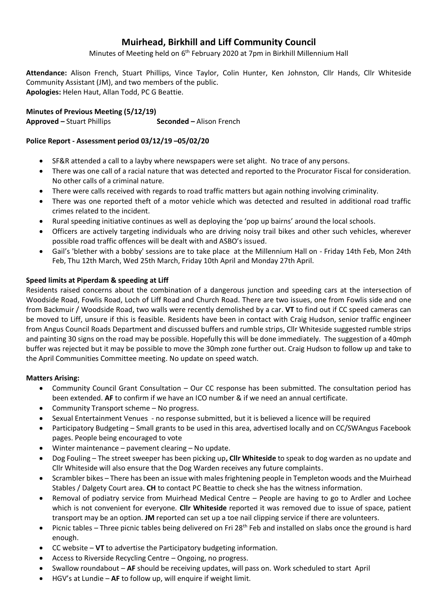# **Muirhead, Birkhill and Liff Community Council**

Minutes of Meeting held on 6<sup>th</sup> February 2020 at 7pm in Birkhill Millennium Hall

**Attendance:** Alison French, Stuart Phillips, Vince Taylor, Colin Hunter, Ken Johnston, Cllr Hands, Cllr Whiteside Community Assistant (JM), and two members of the public. **Apologies:** Helen Haut, Allan Todd, PC G Beattie.

**Minutes of Previous Meeting (5/12/19)** 

**Approved –** Stuart Phillips **Seconded –** Alison French

## **Police Report - Assessment period 03/12/19 –05/02/20**

- SF&R attended a call to a layby where newspapers were set alight. No trace of any persons.
- There was one call of a racial nature that was detected and reported to the Procurator Fiscal for consideration. No other calls of a criminal nature.
- There were calls received with regards to road traffic matters but again nothing involving criminality.
- There was one reported theft of a motor vehicle which was detected and resulted in additional road traffic crimes related to the incident.
- Rural speeding initiative continues as well as deploying the 'pop up bairns' around the local schools.
- Officers are actively targeting individuals who are driving noisy trail bikes and other such vehicles, wherever possible road traffic offences will be dealt with and ASBO's issued.
- Gail's 'blether with a bobby' sessions are to take place at the Millennium Hall on Friday 14th Feb, Mon 24th Feb, Thu 12th March, Wed 25th March, Friday 10th April and Monday 27th April.

## **Speed limits at Piperdam & speeding at Liff**

Residents raised concerns about the combination of a dangerous junction and speeding cars at the intersection of Woodside Road, Fowlis Road, Loch of Liff Road and Church Road. There are two issues, one from Fowlis side and one from Backmuir / Woodside Road, two walls were recently demolished by a car. **VT** to find out if CC speed cameras can be moved to Liff, unsure if this is feasible. Residents have been in contact with Craig Hudson, senior traffic engineer from Angus Council Roads Department and discussed buffers and rumble strips, Cllr Whiteside suggested rumble strips and painting 30 signs on the road may be possible. Hopefully this will be done immediately. The suggestion of a 40mph buffer was rejected but it may be possible to move the 30mph zone further out. Craig Hudson to follow up and take to the April Communities Committee meeting. No update on speed watch.

### **Matters Arising:**

- Community Council Grant Consultation Our CC response has been submitted. The consultation period has been extended. **AF** to confirm if we have an ICO number & if we need an annual certificate.
- Community Transport scheme No progress.
- Sexual Entertainment Venues no response submitted, but it is believed a licence will be required
- Participatory Budgeting Small grants to be used in this area, advertised locally and on CC/SWAngus Facebook pages. People being encouraged to vote
- Winter maintenance pavement clearing No update.
- Dog Fouling The street sweeper has been picking up**, Cllr Whiteside** to speak to dog warden as no update and Cllr Whiteside will also ensure that the Dog Warden receives any future complaints.
- Scrambler bikes There has been an issue with males frightening people in Templeton woods and the Muirhead Stables / Dalgety Court area. **CH** to contact PC Beattie to check she has the witness information.
- Removal of podiatry service from Muirhead Medical Centre People are having to go to Ardler and Lochee which is not convenient for everyone. **Cllr Whiteside** reported it was removed due to issue of space, patient transport may be an option. **JM** reported can set up a toe nail clipping service if there are volunteers.
- Picnic tables Three picnic tables being delivered on Fri 28<sup>th</sup> Feb and installed on slabs once the ground is hard enough.
- CC website **VT** to advertise the Participatory budgeting information.
- Access to Riverside Recycling Centre Ongoing, no progress.
- Swallow roundabout **AF** should be receiving updates, will pass on. Work scheduled to start April
- HGV's at Lundie **AF** to follow up, will enquire if weight limit.